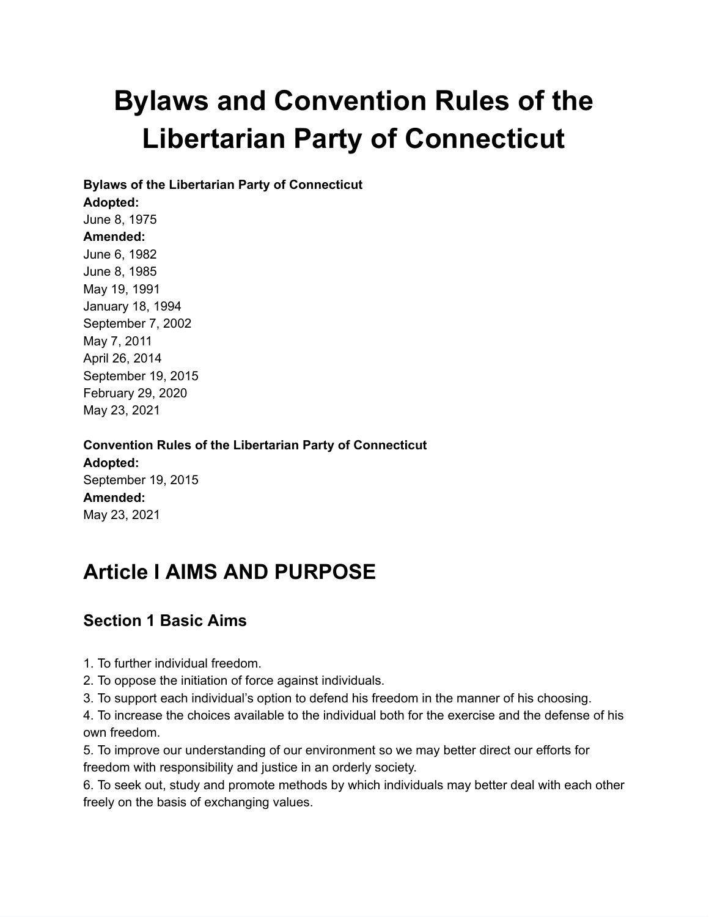# **Bylaws and Convention Rules of the Libertarian Party of Connecticut**

**Bylaws of the Libertarian Party of Connecticut**

#### **Adopted:**

June 8, 1975 **Amended:** June 6, 1982 June 8, 1985 May 19, 1991 January 18, 1994 September 7, 2002 May 7, 2011 April 26, 2014 September 19, 2015 February 29, 2020 May 23, 2021

**Convention Rules of the Libertarian Party of Connecticut Adopted:** September 19, 2015 **Amended:** May 23, 2021

## **Article I AIMS AND PURPOSE**

### **Section 1 Basic Aims**

1. To further individual freedom.

2. To oppose the initiation of force against individuals.

3. To support each individual's option to defend his freedom in the manner of his choosing.

4. To increase the choices available to the individual both for the exercise and the defense of his own freedom.

5. To improve our understanding of our environment so we may better direct our efforts for freedom with responsibility and justice in an orderly society.

6. To seek out, study and promote methods by which individuals may better deal with each other freely on the basis of exchanging values.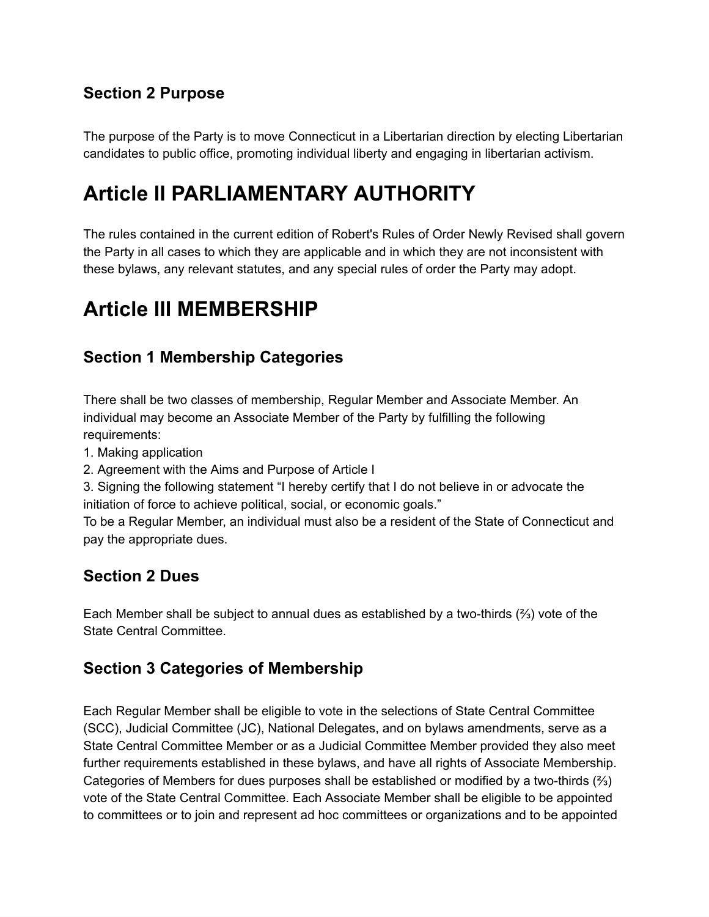### **Section 2 Purpose**

The purpose of the Party is to move Connecticut in a Libertarian direction by electing Libertarian candidates to public office, promoting individual liberty and engaging in libertarian activism.

## **Article II PARLIAMENTARY AUTHORITY**

The rules contained in the current edition of Robert's Rules of Order Newly Revised shall govern the Party in all cases to which they are applicable and in which they are not inconsistent with these bylaws, any relevant statutes, and any special rules of order the Party may adopt.

### **Article III MEMBERSHIP**

#### **Section 1 Membership Categories**

There shall be two classes of membership, Regular Member and Associate Member. An individual may become an Associate Member of the Party by fulfilling the following requirements:

1. Making application

2. Agreement with the Aims and Purpose of Article I

3. Signing the following statement "I hereby certify that I do not believe in or advocate the initiation of force to achieve political, social, or economic goals."

To be a Regular Member, an individual must also be a resident of the State of Connecticut and pay the appropriate dues.

#### **Section 2 Dues**

Each Member shall be subject to annual dues as established by a two-thirds (⅔) vote of the State Central Committee.

#### **Section 3 Categories of Membership**

Each Regular Member shall be eligible to vote in the selections of State Central Committee (SCC), Judicial Committee (JC), National Delegates, and on bylaws amendments, serve as a State Central Committee Member or as a Judicial Committee Member provided they also meet further requirements established in these bylaws, and have all rights of Associate Membership. Categories of Members for dues purposes shall be established or modified by a two-thirds  $(*')$ vote of the State Central Committee. Each Associate Member shall be eligible to be appointed to committees or to join and represent ad hoc committees or organizations and to be appointed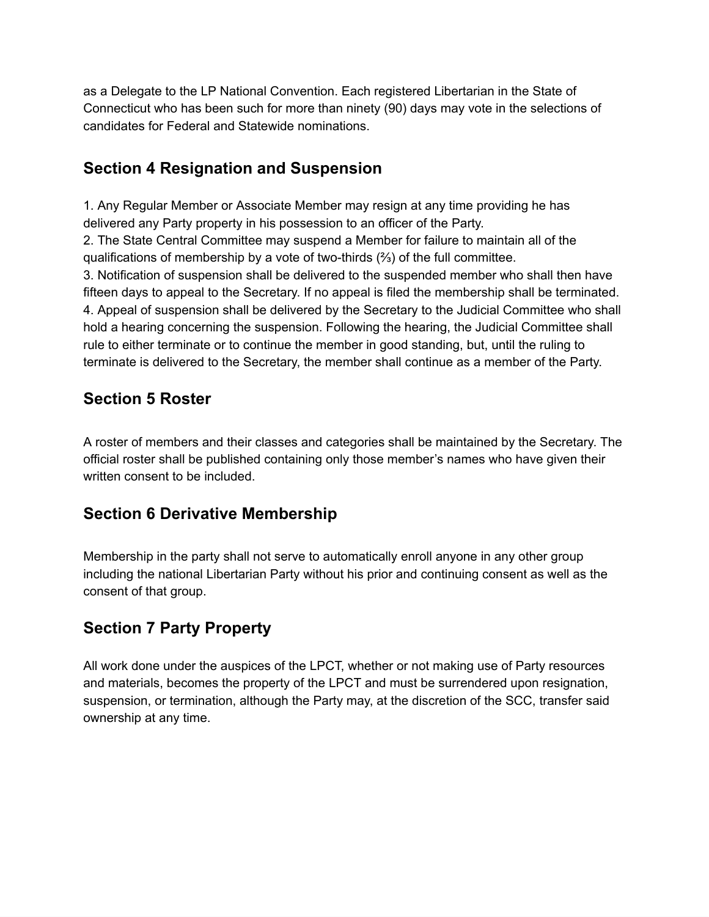as a Delegate to the LP National Convention. Each registered Libertarian in the State of Connecticut who has been such for more than ninety (90) days may vote in the selections of candidates for Federal and Statewide nominations.

### **Section 4 Resignation and Suspension**

1. Any Regular Member or Associate Member may resign at any time providing he has delivered any Party property in his possession to an officer of the Party.

2. The State Central Committee may suspend a Member for failure to maintain all of the qualifications of membership by a vote of two-thirds  $(\frac{2}{3})$  of the full committee.

3. Notification of suspension shall be delivered to the suspended member who shall then have fifteen days to appeal to the Secretary. If no appeal is filed the membership shall be terminated. 4. Appeal of suspension shall be delivered by the Secretary to the Judicial Committee who shall hold a hearing concerning the suspension. Following the hearing, the Judicial Committee shall rule to either terminate or to continue the member in good standing, but, until the ruling to terminate is delivered to the Secretary, the member shall continue as a member of the Party.

### **Section 5 Roster**

A roster of members and their classes and categories shall be maintained by the Secretary. The official roster shall be published containing only those member's names who have given their written consent to be included.

### **Section 6 Derivative Membership**

Membership in the party shall not serve to automatically enroll anyone in any other group including the national Libertarian Party without his prior and continuing consent as well as the consent of that group.

### **Section 7 Party Property**

All work done under the auspices of the LPCT, whether or not making use of Party resources and materials, becomes the property of the LPCT and must be surrendered upon resignation, suspension, or termination, although the Party may, at the discretion of the SCC, transfer said ownership at any time.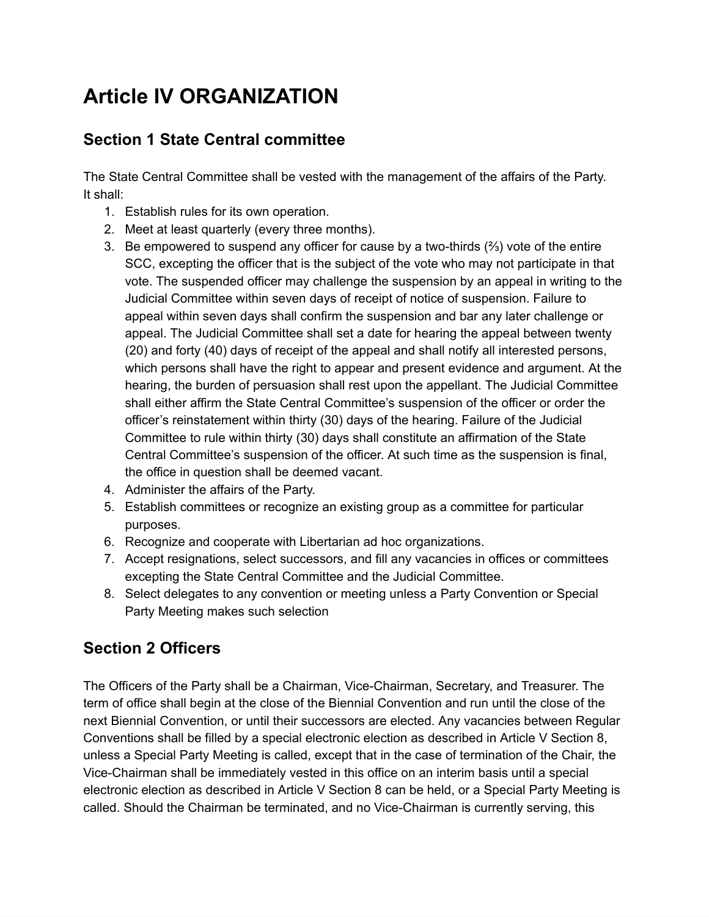# **Article IV ORGANIZATION**

### **Section 1 State Central committee**

The State Central Committee shall be vested with the management of the affairs of the Party. It shall:

- 1. Establish rules for its own operation.
- 2. Meet at least quarterly (every three months).
- 3. Be empowered to suspend any officer for cause by a two-thirds (⅔) vote of the entire SCC, excepting the officer that is the subject of the vote who may not participate in that vote. The suspended officer may challenge the suspension by an appeal in writing to the Judicial Committee within seven days of receipt of notice of suspension. Failure to appeal within seven days shall confirm the suspension and bar any later challenge or appeal. The Judicial Committee shall set a date for hearing the appeal between twenty (20) and forty (40) days of receipt of the appeal and shall notify all interested persons, which persons shall have the right to appear and present evidence and argument. At the hearing, the burden of persuasion shall rest upon the appellant. The Judicial Committee shall either affirm the State Central Committee's suspension of the officer or order the officer's reinstatement within thirty (30) days of the hearing. Failure of the Judicial Committee to rule within thirty (30) days shall constitute an affirmation of the State Central Committee's suspension of the officer. At such time as the suspension is final, the office in question shall be deemed vacant.
- 4. Administer the affairs of the Party.
- 5. Establish committees or recognize an existing group as a committee for particular purposes.
- 6. Recognize and cooperate with Libertarian ad hoc organizations.
- 7. Accept resignations, select successors, and fill any vacancies in offices or committees excepting the State Central Committee and the Judicial Committee.
- 8. Select delegates to any convention or meeting unless a Party Convention or Special Party Meeting makes such selection

### **Section 2 Officers**

The Officers of the Party shall be a Chairman, Vice-Chairman, Secretary, and Treasurer. The term of office shall begin at the close of the Biennial Convention and run until the close of the next Biennial Convention, or until their successors are elected. Any vacancies between Regular Conventions shall be filled by a special electronic election as described in Article V Section 8, unless a Special Party Meeting is called, except that in the case of termination of the Chair, the Vice-Chairman shall be immediately vested in this office on an interim basis until a special electronic election as described in Article V Section 8 can be held, or a Special Party Meeting is called. Should the Chairman be terminated, and no Vice-Chairman is currently serving, this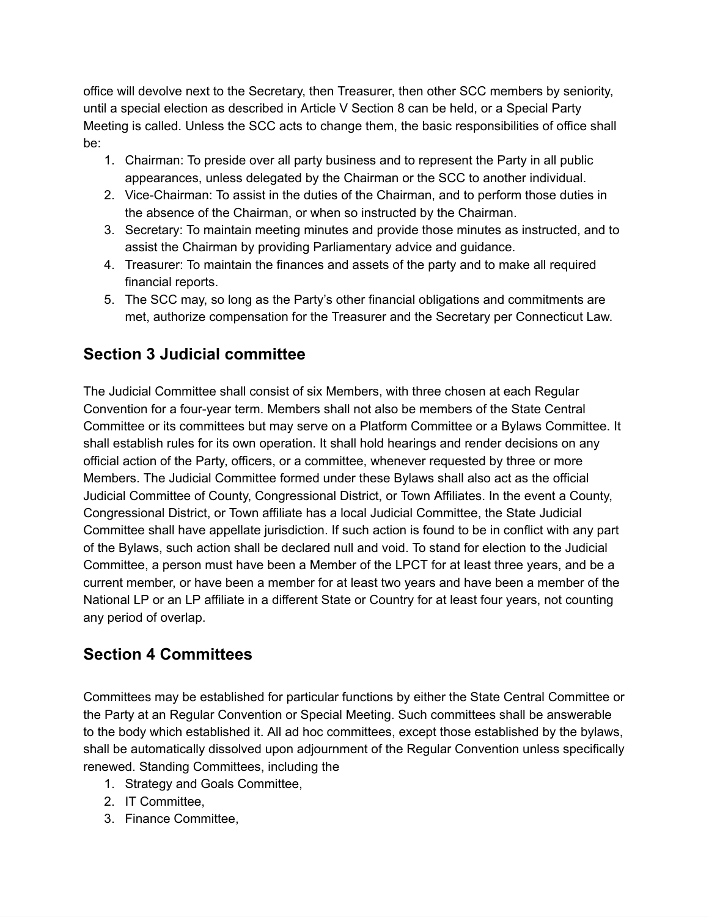office will devolve next to the Secretary, then Treasurer, then other SCC members by seniority, until a special election as described in Article V Section 8 can be held, or a Special Party Meeting is called. Unless the SCC acts to change them, the basic responsibilities of office shall be:

- 1. Chairman: To preside over all party business and to represent the Party in all public appearances, unless delegated by the Chairman or the SCC to another individual.
- 2. Vice-Chairman: To assist in the duties of the Chairman, and to perform those duties in the absence of the Chairman, or when so instructed by the Chairman.
- 3. Secretary: To maintain meeting minutes and provide those minutes as instructed, and to assist the Chairman by providing Parliamentary advice and guidance.
- 4. Treasurer: To maintain the finances and assets of the party and to make all required financial reports.
- 5. The SCC may, so long as the Party's other financial obligations and commitments are met, authorize compensation for the Treasurer and the Secretary per Connecticut Law.

### **Section 3 Judicial committee**

The Judicial Committee shall consist of six Members, with three chosen at each Regular Convention for a four-year term. Members shall not also be members of the State Central Committee or its committees but may serve on a Platform Committee or a Bylaws Committee. It shall establish rules for its own operation. It shall hold hearings and render decisions on any official action of the Party, officers, or a committee, whenever requested by three or more Members. The Judicial Committee formed under these Bylaws shall also act as the official Judicial Committee of County, Congressional District, or Town Affiliates. In the event a County, Congressional District, or Town affiliate has a local Judicial Committee, the State Judicial Committee shall have appellate jurisdiction. If such action is found to be in conflict with any part of the Bylaws, such action shall be declared null and void. To stand for election to the Judicial Committee, a person must have been a Member of the LPCT for at least three years, and be a current member, or have been a member for at least two years and have been a member of the National LP or an LP affiliate in a different State or Country for at least four years, not counting any period of overlap.

### **Section 4 Committees**

Committees may be established for particular functions by either the State Central Committee or the Party at an Regular Convention or Special Meeting. Such committees shall be answerable to the body which established it. All ad hoc committees, except those established by the bylaws, shall be automatically dissolved upon adjournment of the Regular Convention unless specifically renewed. Standing Committees, including the

- 1. Strategy and Goals Committee,
- 2. IT Committee,
- 3. Finance Committee,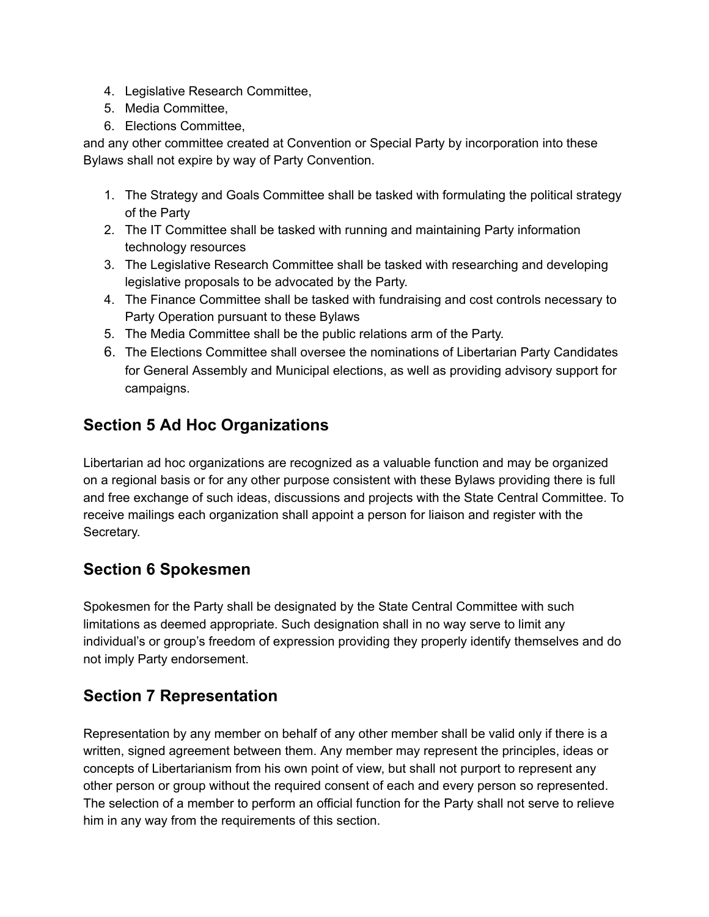- 4. Legislative Research Committee,
- 5. Media Committee,
- 6. Elections Committee,

and any other committee created at Convention or Special Party by incorporation into these Bylaws shall not expire by way of Party Convention.

- 1. The Strategy and Goals Committee shall be tasked with formulating the political strategy of the Party
- 2. The IT Committee shall be tasked with running and maintaining Party information technology resources
- 3. The Legislative Research Committee shall be tasked with researching and developing legislative proposals to be advocated by the Party.
- 4. The Finance Committee shall be tasked with fundraising and cost controls necessary to Party Operation pursuant to these Bylaws
- 5. The Media Committee shall be the public relations arm of the Party.
- 6. The Elections Committee shall oversee the nominations of Libertarian Party Candidates for General Assembly and Municipal elections, as well as providing advisory support for campaigns.

### **Section 5 Ad Hoc Organizations**

Libertarian ad hoc organizations are recognized as a valuable function and may be organized on a regional basis or for any other purpose consistent with these Bylaws providing there is full and free exchange of such ideas, discussions and projects with the State Central Committee. To receive mailings each organization shall appoint a person for liaison and register with the Secretary.

### **Section 6 Spokesmen**

Spokesmen for the Party shall be designated by the State Central Committee with such limitations as deemed appropriate. Such designation shall in no way serve to limit any individual's or group's freedom of expression providing they properly identify themselves and do not imply Party endorsement.

### **Section 7 Representation**

Representation by any member on behalf of any other member shall be valid only if there is a written, signed agreement between them. Any member may represent the principles, ideas or concepts of Libertarianism from his own point of view, but shall not purport to represent any other person or group without the required consent of each and every person so represented. The selection of a member to perform an official function for the Party shall not serve to relieve him in any way from the requirements of this section.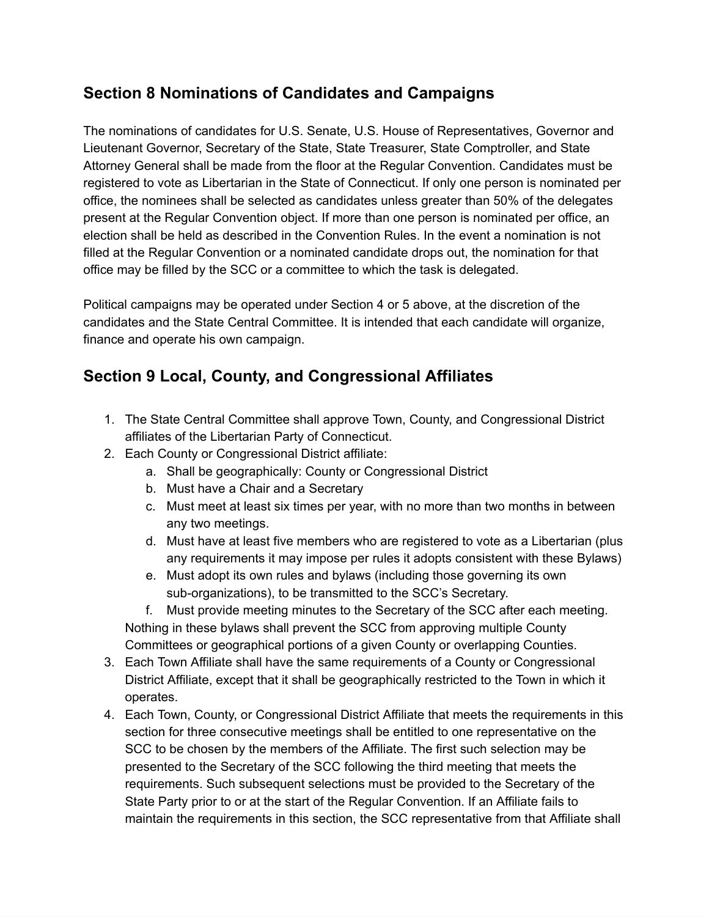### **Section 8 Nominations of Candidates and Campaigns**

The nominations of candidates for U.S. Senate, U.S. House of Representatives, Governor and Lieutenant Governor, Secretary of the State, State Treasurer, State Comptroller, and State Attorney General shall be made from the floor at the Regular Convention. Candidates must be registered to vote as Libertarian in the State of Connecticut. If only one person is nominated per office, the nominees shall be selected as candidates unless greater than 50% of the delegates present at the Regular Convention object. If more than one person is nominated per office, an election shall be held as described in the Convention Rules. In the event a nomination is not filled at the Regular Convention or a nominated candidate drops out, the nomination for that office may be filled by the SCC or a committee to which the task is delegated.

Political campaigns may be operated under Section 4 or 5 above, at the discretion of the candidates and the State Central Committee. It is intended that each candidate will organize, finance and operate his own campaign.

#### **Section 9 Local, County, and Congressional Affiliates**

- 1. The State Central Committee shall approve Town, County, and Congressional District affiliates of the Libertarian Party of Connecticut.
- 2. Each County or Congressional District affiliate:
	- a. Shall be geographically: County or Congressional District
	- b. Must have a Chair and a Secretary
	- c. Must meet at least six times per year, with no more than two months in between any two meetings.
	- d. Must have at least five members who are registered to vote as a Libertarian (plus any requirements it may impose per rules it adopts consistent with these Bylaws)
	- e. Must adopt its own rules and bylaws (including those governing its own sub-organizations), to be transmitted to the SCC's Secretary.

f. Must provide meeting minutes to the Secretary of the SCC after each meeting. Nothing in these bylaws shall prevent the SCC from approving multiple County Committees or geographical portions of a given County or overlapping Counties.

- 3. Each Town Affiliate shall have the same requirements of a County or Congressional District Affiliate, except that it shall be geographically restricted to the Town in which it operates.
- 4. Each Town, County, or Congressional District Affiliate that meets the requirements in this section for three consecutive meetings shall be entitled to one representative on the SCC to be chosen by the members of the Affiliate. The first such selection may be presented to the Secretary of the SCC following the third meeting that meets the requirements. Such subsequent selections must be provided to the Secretary of the State Party prior to or at the start of the Regular Convention. If an Affiliate fails to maintain the requirements in this section, the SCC representative from that Affiliate shall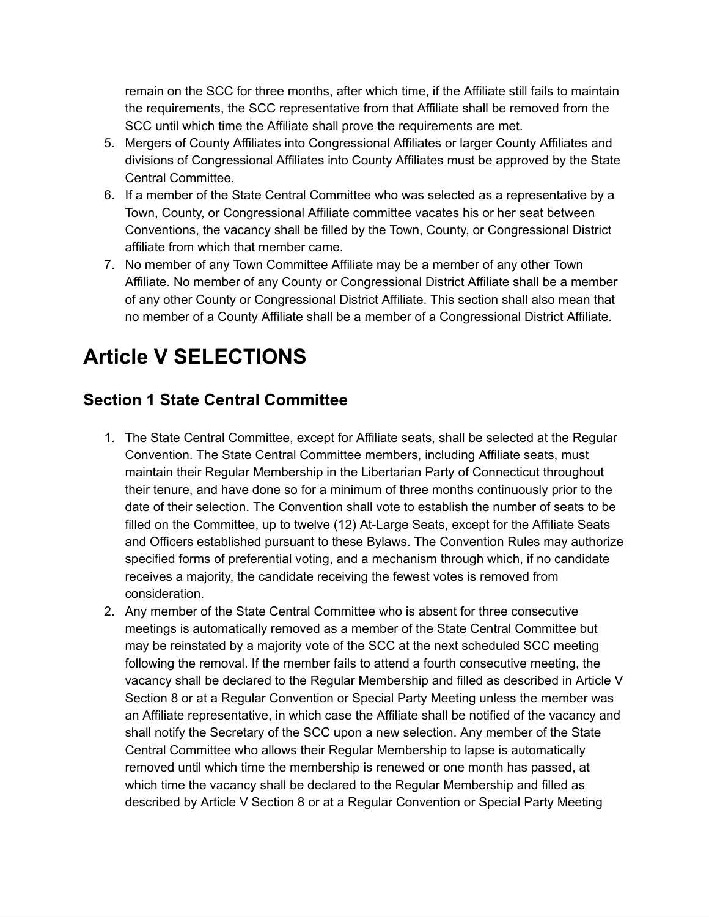remain on the SCC for three months, after which time, if the Affiliate still fails to maintain the requirements, the SCC representative from that Affiliate shall be removed from the SCC until which time the Affiliate shall prove the requirements are met.

- 5. Mergers of County Affiliates into Congressional Affiliates or larger County Affiliates and divisions of Congressional Affiliates into County Affiliates must be approved by the State Central Committee.
- 6. If a member of the State Central Committee who was selected as a representative by a Town, County, or Congressional Affiliate committee vacates his or her seat between Conventions, the vacancy shall be filled by the Town, County, or Congressional District affiliate from which that member came.
- 7. No member of any Town Committee Affiliate may be a member of any other Town Affiliate. No member of any County or Congressional District Affiliate shall be a member of any other County or Congressional District Affiliate. This section shall also mean that no member of a County Affiliate shall be a member of a Congressional District Affiliate.

# **Article V SELECTIONS**

### **Section 1 State Central Committee**

- 1. The State Central Committee, except for Affiliate seats, shall be selected at the Regular Convention. The State Central Committee members, including Affiliate seats, must maintain their Regular Membership in the Libertarian Party of Connecticut throughout their tenure, and have done so for a minimum of three months continuously prior to the date of their selection. The Convention shall vote to establish the number of seats to be filled on the Committee, up to twelve (12) At-Large Seats, except for the Affiliate Seats and Officers established pursuant to these Bylaws. The Convention Rules may authorize specified forms of preferential voting, and a mechanism through which, if no candidate receives a majority, the candidate receiving the fewest votes is removed from consideration.
- 2. Any member of the State Central Committee who is absent for three consecutive meetings is automatically removed as a member of the State Central Committee but may be reinstated by a majority vote of the SCC at the next scheduled SCC meeting following the removal. If the member fails to attend a fourth consecutive meeting, the vacancy shall be declared to the Regular Membership and filled as described in Article V Section 8 or at a Regular Convention or Special Party Meeting unless the member was an Affiliate representative, in which case the Affiliate shall be notified of the vacancy and shall notify the Secretary of the SCC upon a new selection. Any member of the State Central Committee who allows their Regular Membership to lapse is automatically removed until which time the membership is renewed or one month has passed, at which time the vacancy shall be declared to the Regular Membership and filled as described by Article V Section 8 or at a Regular Convention or Special Party Meeting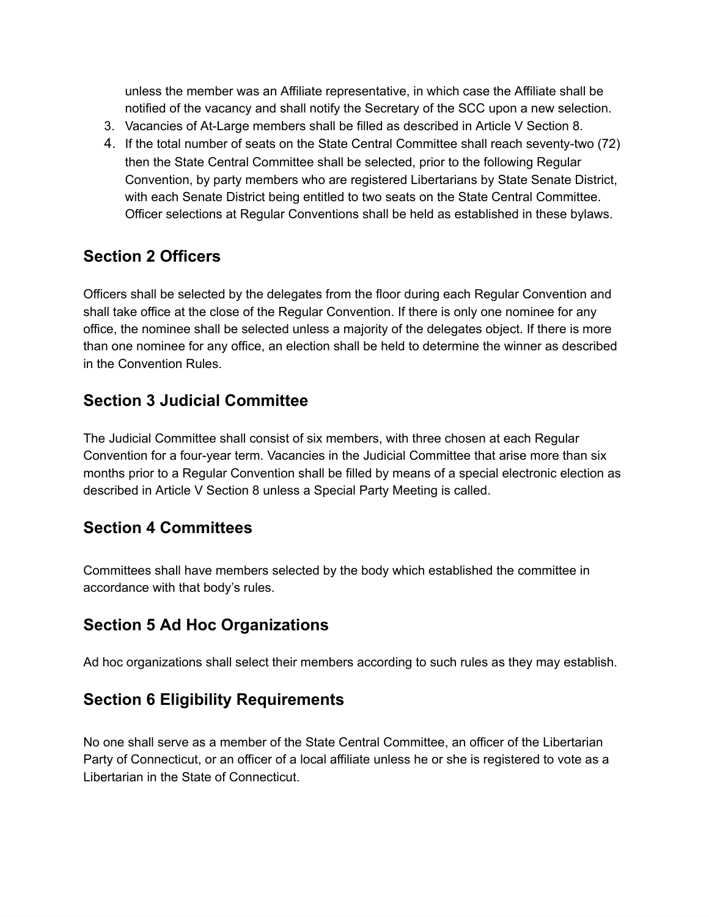unless the member was an Affiliate representative, in which case the Affiliate shall be notified of the vacancy and shall notify the Secretary of the SCC upon a new selection.

- 3. Vacancies of At-Large members shall be filled as described in Article V Section 8.
- 4. If the total number of seats on the State Central Committee shall reach seventy-two (72) then the State Central Committee shall be selected, prior to the following Regular Convention, by party members who are registered Libertarians by State Senate District, with each Senate District being entitled to two seats on the State Central Committee. Officer selections at Regular Conventions shall be held as established in these bylaws.

### **Section 2 Officers**

Officers shall be selected by the delegates from the floor during each Regular Convention and shall take office at the close of the Regular Convention. If there is only one nominee for any office, the nominee shall be selected unless a majority of the delegates object. If there is more than one nominee for any office, an election shall be held to determine the winner as described in the Convention Rules.

### **Section 3 Judicial Committee**

The Judicial Committee shall consist of six members, with three chosen at each Regular Convention for a four-year term. Vacancies in the Judicial Committee that arise more than six months prior to a Regular Convention shall be filled by means of a special electronic election as described in Article V Section 8 unless a Special Party Meeting is called.

### **Section 4 Committees**

Committees shall have members selected by the body which established the committee in accordance with that body's rules.

### **Section 5 Ad Hoc Organizations**

Ad hoc organizations shall select their members according to such rules as they may establish.

### **Section 6 Eligibility Requirements**

No one shall serve as a member of the State Central Committee, an officer of the Libertarian Party of Connecticut, or an officer of a local affiliate unless he or she is registered to vote as a Libertarian in the State of Connecticut.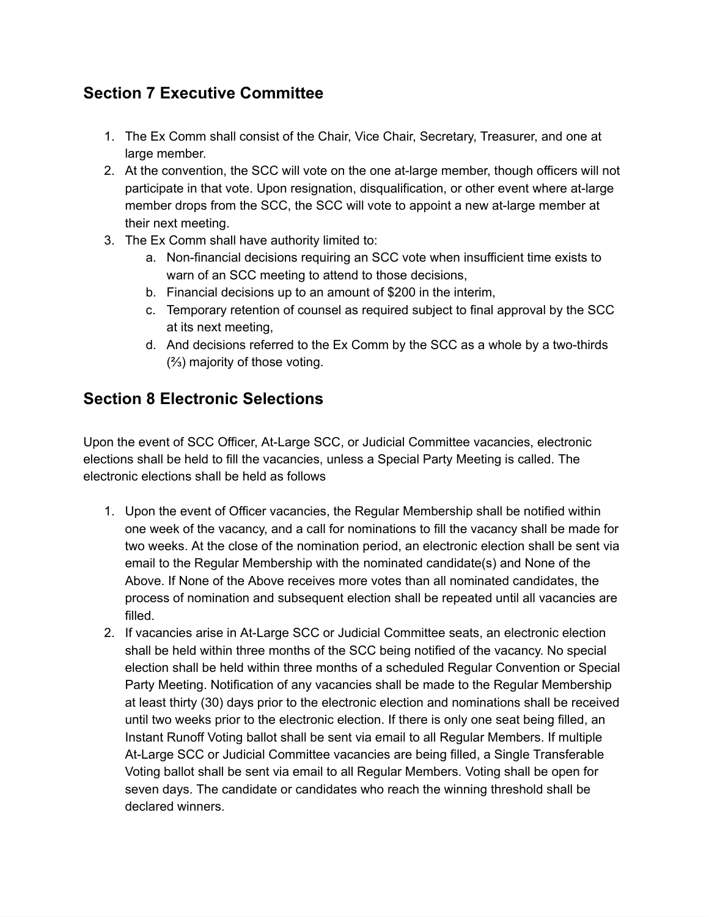### **Section 7 Executive Committee**

- 1. The Ex Comm shall consist of the Chair, Vice Chair, Secretary, Treasurer, and one at large member.
- 2. At the convention, the SCC will vote on the one at-large member, though officers will not participate in that vote. Upon resignation, disqualification, or other event where at-large member drops from the SCC, the SCC will vote to appoint a new at-large member at their next meeting.
- 3. The Ex Comm shall have authority limited to:
	- a. Non-financial decisions requiring an SCC vote when insufficient time exists to warn of an SCC meeting to attend to those decisions,
	- b. Financial decisions up to an amount of \$200 in the interim,
	- c. Temporary retention of counsel as required subject to final approval by the SCC at its next meeting,
	- d. And decisions referred to the Ex Comm by the SCC as a whole by a two-thirds (⅔) majority of those voting.

### **Section 8 Electronic Selections**

Upon the event of SCC Officer, At-Large SCC, or Judicial Committee vacancies, electronic elections shall be held to fill the vacancies, unless a Special Party Meeting is called. The electronic elections shall be held as follows

- 1. Upon the event of Officer vacancies, the Regular Membership shall be notified within one week of the vacancy, and a call for nominations to fill the vacancy shall be made for two weeks. At the close of the nomination period, an electronic election shall be sent via email to the Regular Membership with the nominated candidate(s) and None of the Above. If None of the Above receives more votes than all nominated candidates, the process of nomination and subsequent election shall be repeated until all vacancies are filled.
- 2. If vacancies arise in At-Large SCC or Judicial Committee seats, an electronic election shall be held within three months of the SCC being notified of the vacancy. No special election shall be held within three months of a scheduled Regular Convention or Special Party Meeting. Notification of any vacancies shall be made to the Regular Membership at least thirty (30) days prior to the electronic election and nominations shall be received until two weeks prior to the electronic election. If there is only one seat being filled, an Instant Runoff Voting ballot shall be sent via email to all Regular Members. If multiple At-Large SCC or Judicial Committee vacancies are being filled, a Single Transferable Voting ballot shall be sent via email to all Regular Members. Voting shall be open for seven days. The candidate or candidates who reach the winning threshold shall be declared winners.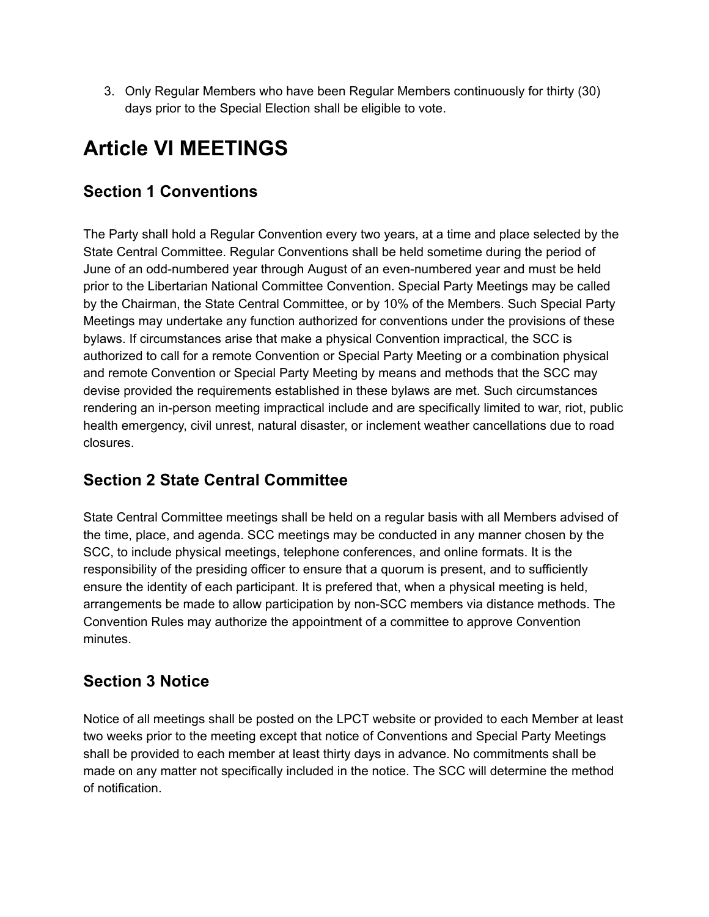3. Only Regular Members who have been Regular Members continuously for thirty (30) days prior to the Special Election shall be eligible to vote.

# **Article VI MEETINGS**

### **Section 1 Conventions**

The Party shall hold a Regular Convention every two years, at a time and place selected by the State Central Committee. Regular Conventions shall be held sometime during the period of June of an odd-numbered year through August of an even-numbered year and must be held prior to the Libertarian National Committee Convention. Special Party Meetings may be called by the Chairman, the State Central Committee, or by 10% of the Members. Such Special Party Meetings may undertake any function authorized for conventions under the provisions of these bylaws. If circumstances arise that make a physical Convention impractical, the SCC is authorized to call for a remote Convention or Special Party Meeting or a combination physical and remote Convention or Special Party Meeting by means and methods that the SCC may devise provided the requirements established in these bylaws are met. Such circumstances rendering an in-person meeting impractical include and are specifically limited to war, riot, public health emergency, civil unrest, natural disaster, or inclement weather cancellations due to road closures.

### **Section 2 State Central Committee**

State Central Committee meetings shall be held on a regular basis with all Members advised of the time, place, and agenda. SCC meetings may be conducted in any manner chosen by the SCC, to include physical meetings, telephone conferences, and online formats. It is the responsibility of the presiding officer to ensure that a quorum is present, and to sufficiently ensure the identity of each participant. It is prefered that, when a physical meeting is held, arrangements be made to allow participation by non-SCC members via distance methods. The Convention Rules may authorize the appointment of a committee to approve Convention minutes.

### **Section 3 Notice**

Notice of all meetings shall be posted on the LPCT website or provided to each Member at least two weeks prior to the meeting except that notice of Conventions and Special Party Meetings shall be provided to each member at least thirty days in advance. No commitments shall be made on any matter not specifically included in the notice. The SCC will determine the method of notification.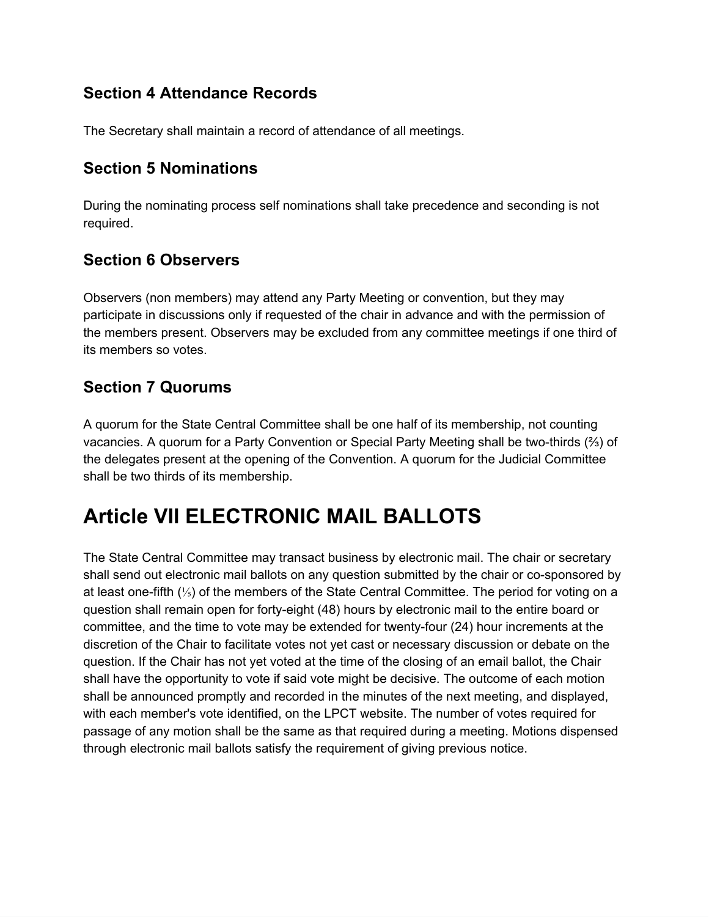### **Section 4 Attendance Records**

The Secretary shall maintain a record of attendance of all meetings.

#### **Section 5 Nominations**

During the nominating process self nominations shall take precedence and seconding is not required.

#### **Section 6 Observers**

Observers (non members) may attend any Party Meeting or convention, but they may participate in discussions only if requested of the chair in advance and with the permission of the members present. Observers may be excluded from any committee meetings if one third of its members so votes.

### **Section 7 Quorums**

A quorum for the State Central Committee shall be one half of its membership, not counting vacancies. A quorum for a Party Convention or Special Party Meeting shall be two-thirds ( $\frac{2}{3}$ ) of the delegates present at the opening of the Convention. A quorum for the Judicial Committee shall be two thirds of its membership.

## **Article VII ELECTRONIC MAIL BALLOTS**

The State Central Committee may transact business by electronic mail. The chair or secretary shall send out electronic mail ballots on any question submitted by the chair or co-sponsored by at least one-fifth (1/3) of the members of the State Central Committee. The period for voting on a question shall remain open for forty-eight (48) hours by electronic mail to the entire board or committee, and the time to vote may be extended for twenty-four (24) hour increments at the discretion of the Chair to facilitate votes not yet cast or necessary discussion or debate on the question. If the Chair has not yet voted at the time of the closing of an email ballot, the Chair shall have the opportunity to vote if said vote might be decisive. The outcome of each motion shall be announced promptly and recorded in the minutes of the next meeting, and displayed, with each member's vote identified, on the LPCT website. The number of votes required for passage of any motion shall be the same as that required during a meeting. Motions dispensed through electronic mail ballots satisfy the requirement of giving previous notice.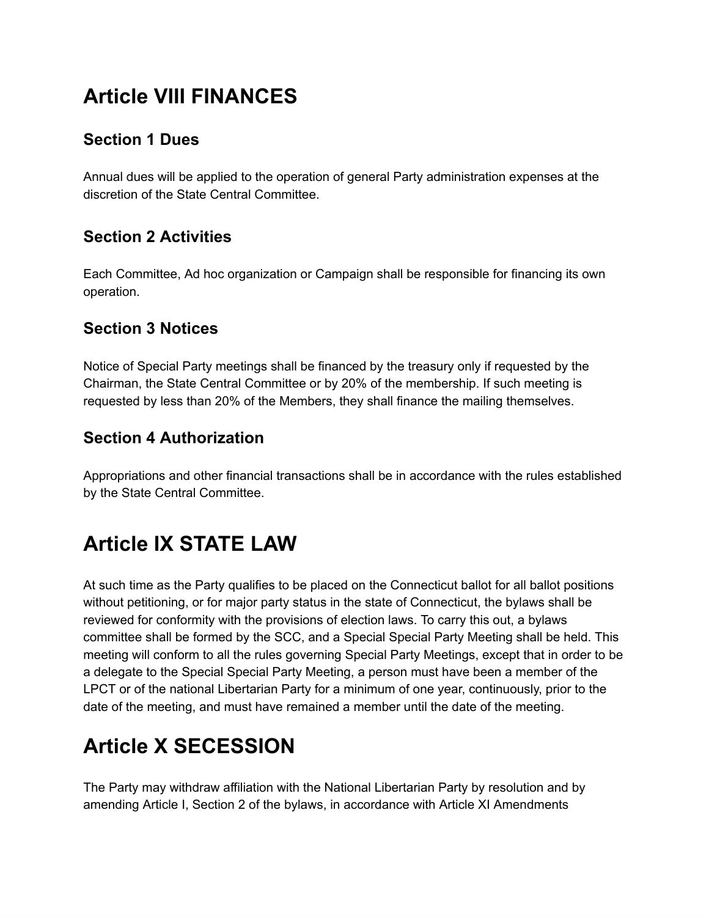# **Article VIII FINANCES**

### **Section 1 Dues**

Annual dues will be applied to the operation of general Party administration expenses at the discretion of the State Central Committee.

### **Section 2 Activities**

Each Committee, Ad hoc organization or Campaign shall be responsible for financing its own operation.

#### **Section 3 Notices**

Notice of Special Party meetings shall be financed by the treasury only if requested by the Chairman, the State Central Committee or by 20% of the membership. If such meeting is requested by less than 20% of the Members, they shall finance the mailing themselves.

### **Section 4 Authorization**

Appropriations and other financial transactions shall be in accordance with the rules established by the State Central Committee.

## **Article IX STATE LAW**

At such time as the Party qualifies to be placed on the Connecticut ballot for all ballot positions without petitioning, or for major party status in the state of Connecticut, the bylaws shall be reviewed for conformity with the provisions of election laws. To carry this out, a bylaws committee shall be formed by the SCC, and a Special Special Party Meeting shall be held. This meeting will conform to all the rules governing Special Party Meetings, except that in order to be a delegate to the Special Special Party Meeting, a person must have been a member of the LPCT or of the national Libertarian Party for a minimum of one year, continuously, prior to the date of the meeting, and must have remained a member until the date of the meeting.

# **Article X SECESSION**

The Party may withdraw affiliation with the National Libertarian Party by resolution and by amending Article I, Section 2 of the bylaws, in accordance with Article XI Amendments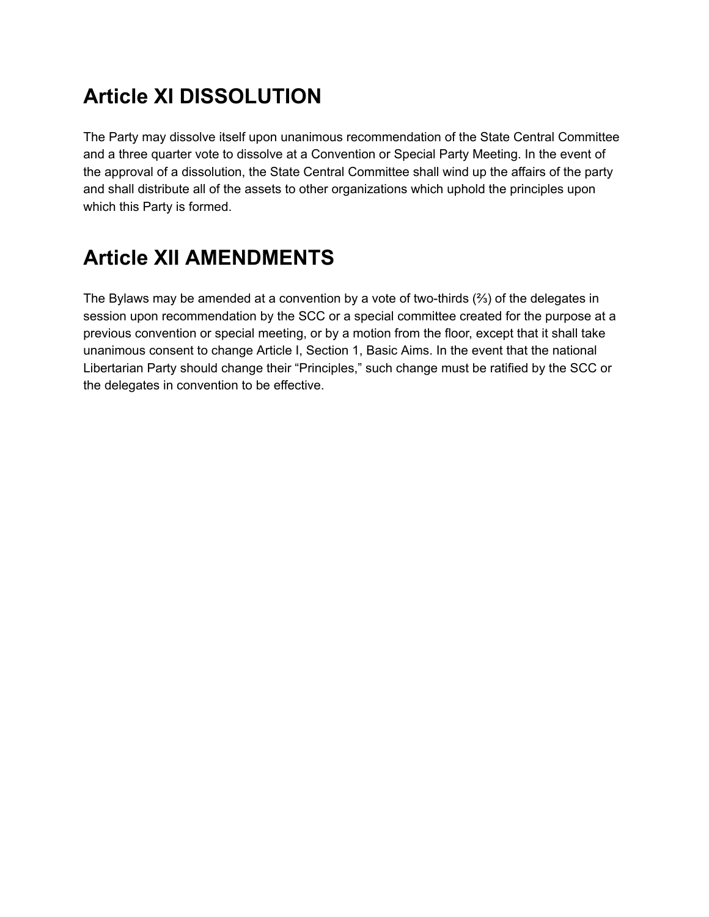# **Article XI DISSOLUTION**

The Party may dissolve itself upon unanimous recommendation of the State Central Committee and a three quarter vote to dissolve at a Convention or Special Party Meeting. In the event of the approval of a dissolution, the State Central Committee shall wind up the affairs of the party and shall distribute all of the assets to other organizations which uphold the principles upon which this Party is formed.

# **Article XII AMENDMENTS**

The Bylaws may be amended at a convention by a vote of two-thirds  $(3/2)$  of the delegates in session upon recommendation by the SCC or a special committee created for the purpose at a previous convention or special meeting, or by a motion from the floor, except that it shall take unanimous consent to change Article I, Section 1, Basic Aims. In the event that the national Libertarian Party should change their "Principles," such change must be ratified by the SCC or the delegates in convention to be effective.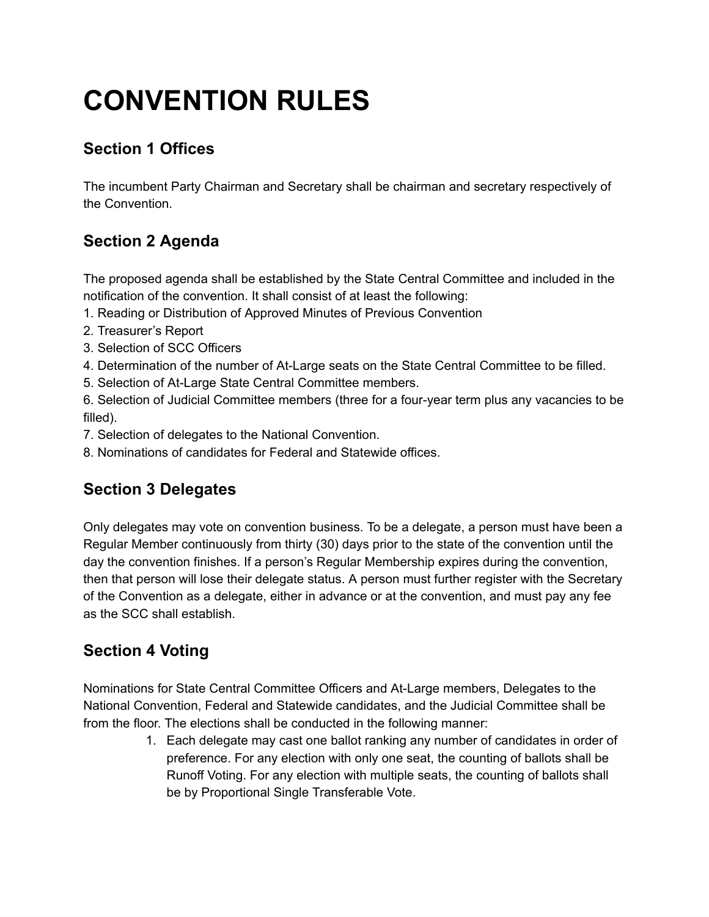# **CONVENTION RULES**

### **Section 1 Offices**

The incumbent Party Chairman and Secretary shall be chairman and secretary respectively of the Convention.

### **Section 2 Agenda**

The proposed agenda shall be established by the State Central Committee and included in the notification of the convention. It shall consist of at least the following:

- 1. Reading or Distribution of Approved Minutes of Previous Convention
- 2. Treasurer's Report
- 3. Selection of SCC Officers
- 4. Determination of the number of At-Large seats on the State Central Committee to be filled.
- 5. Selection of At-Large State Central Committee members.

6. Selection of Judicial Committee members (three for a four-year term plus any vacancies to be filled).

- 7. Selection of delegates to the National Convention.
- 8. Nominations of candidates for Federal and Statewide offices.

### **Section 3 Delegates**

Only delegates may vote on convention business. To be a delegate, a person must have been a Regular Member continuously from thirty (30) days prior to the state of the convention until the day the convention finishes. If a person's Regular Membership expires during the convention, then that person will lose their delegate status. A person must further register with the Secretary of the Convention as a delegate, either in advance or at the convention, and must pay any fee as the SCC shall establish.

### **Section 4 Voting**

Nominations for State Central Committee Officers and At-Large members, Delegates to the National Convention, Federal and Statewide candidates, and the Judicial Committee shall be from the floor. The elections shall be conducted in the following manner:

> 1. Each delegate may cast one ballot ranking any number of candidates in order of preference. For any election with only one seat, the counting of ballots shall be Runoff Voting. For any election with multiple seats, the counting of ballots shall be by Proportional Single Transferable Vote.